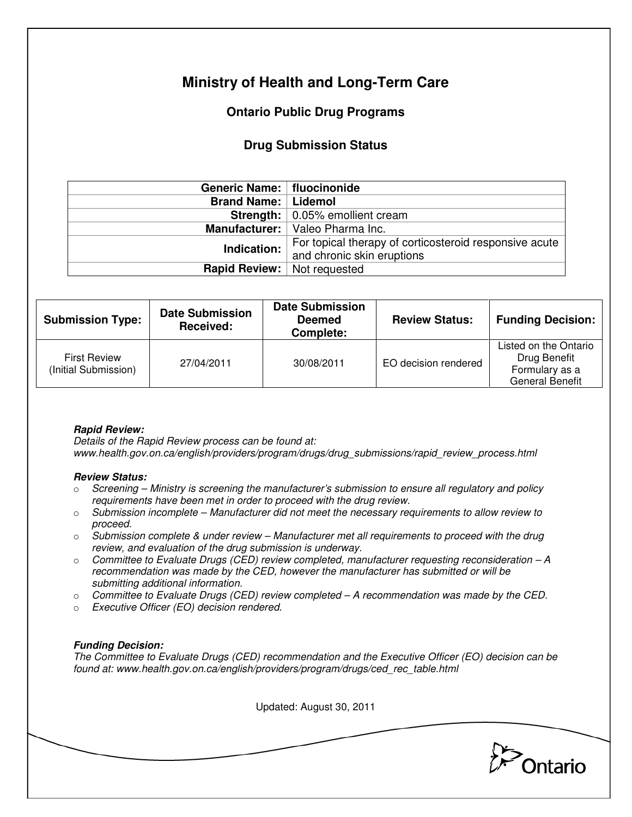# **Ministry of Health and Long-Term Care**

## **Ontario Public Drug Programs**

### **Drug Submission Status**

| Generic Name:   fluocinonide         |                                                        |  |  |
|--------------------------------------|--------------------------------------------------------|--|--|
| <b>Brand Name:   Lidemol</b>         |                                                        |  |  |
|                                      | <b>Strength:</b>   0.05% emollient cream               |  |  |
|                                      | Manufacturer:   Valeo Pharma Inc.                      |  |  |
| Indication:                          | For topical therapy of corticosteroid responsive acute |  |  |
|                                      | and chronic skin eruptions                             |  |  |
| <b>Rapid Review:</b>   Not requested |                                                        |  |  |

| <b>Submission Type:</b>                     | <b>Date Submission</b><br>Received: | <b>Date Submission</b><br><b>Deemed</b><br>Complete: | <b>Review Status:</b> | <b>Funding Decision:</b>                                                          |
|---------------------------------------------|-------------------------------------|------------------------------------------------------|-----------------------|-----------------------------------------------------------------------------------|
| <b>First Review</b><br>(Initial Submission) | 27/04/2011                          | 30/08/2011                                           | EO decision rendered  | Listed on the Ontario<br>Drug Benefit<br>Formulary as a<br><b>General Benefit</b> |

### **Rapid Review:**

Details of the Rapid Review process can be found at: www.health.gov.on.ca/english/providers/program/drugs/drug\_submissions/rapid\_review\_process.html

#### **Review Status:**

- $\circ$  Screening Ministry is screening the manufacturer's submission to ensure all regulatory and policy requirements have been met in order to proceed with the drug review.
- $\circ$  Submission incomplete Manufacturer did not meet the necessary requirements to allow review to proceed.
- $\circ$  Submission complete & under review Manufacturer met all requirements to proceed with the drug review, and evaluation of the drug submission is underway.
- $\circ$  Committee to Evaluate Drugs (CED) review completed, manufacturer requesting reconsideration  $-A$ recommendation was made by the CED, however the manufacturer has submitted or will be submitting additional information.
- $\circ$  Committee to Evaluate Drugs (CED) review completed A recommendation was made by the CED.
- o Executive Officer (EO) decision rendered.

### **Funding Decision:**

The Committee to Evaluate Drugs (CED) recommendation and the Executive Officer (EO) decision can be found at: www.health.gov.on.ca/english/providers/program/drugs/ced\_rec\_table.html

Updated: August 30, 2011

Ontario